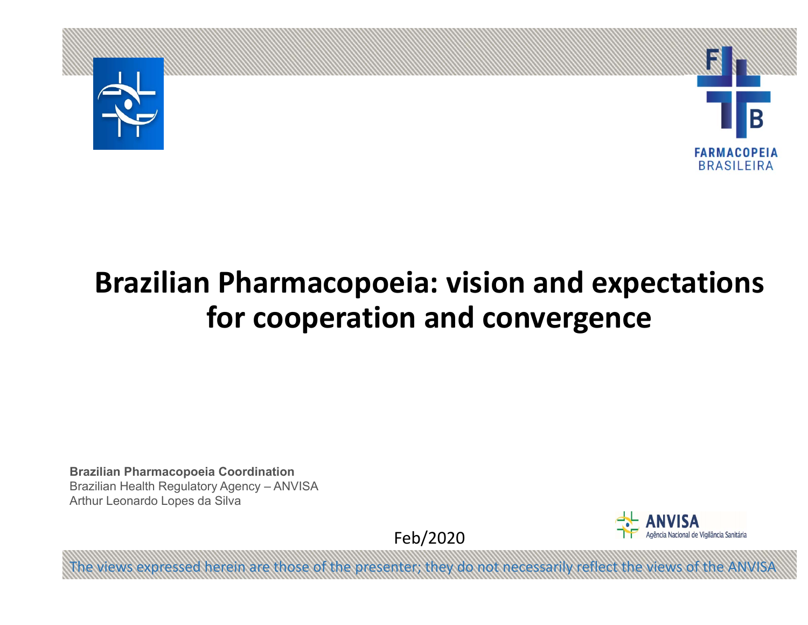



# **Brazilian Pharmacopoeia: vision and expectations for cooperation and convergence**

**Brazilian Pharmacopoeia Coordination** Brazilian Health Regulatory Agency – ANVISA Arthur Leonardo Lopes da Silva

Feb/2020

iews expressed herein are those of the presenter; they do not necessarily reflect the views of

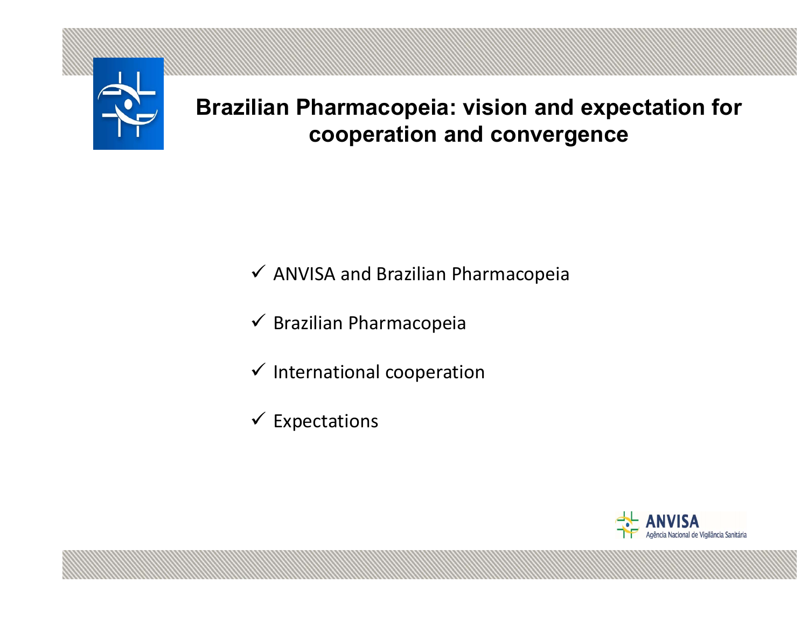

**Brazilian Pharmacopeia: vision and expectation for cooperation and convergence**

 $\checkmark$  ANVISA and Brazilian Pharmacopeia

- $\checkmark$  Brazilian Pharmacopeia
- $\checkmark$  International cooperation
- $\checkmark$  Expectations

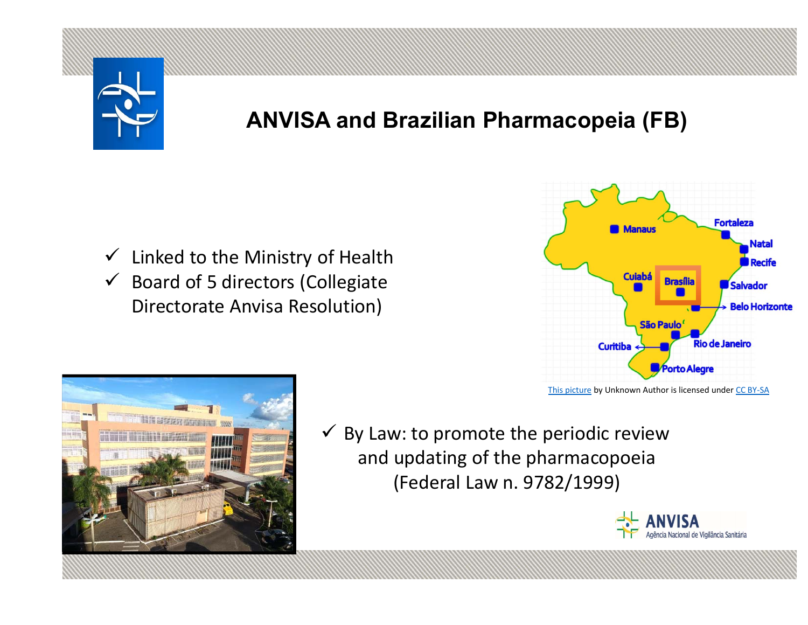

## **ANVISA and Brazilian Pharmacopeia (FB)**

- $\checkmark$  Linked to the Ministry of Health
- $\checkmark$  Board of 5 directors (Collegiate Directorate Anvisa Resolution)



 $\checkmark$  By Law: to promote the periodic review and updating of the pharmacopoeia (Federal Law n. 9782/1999)

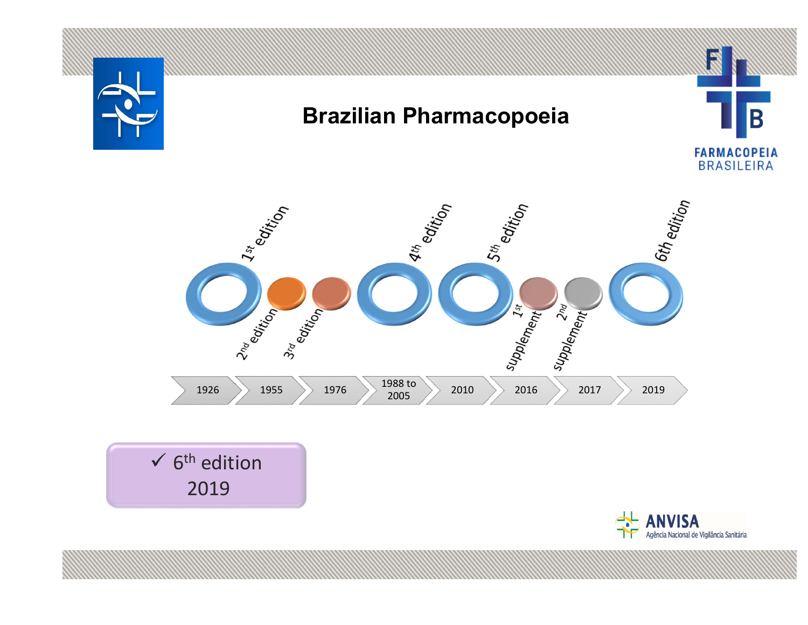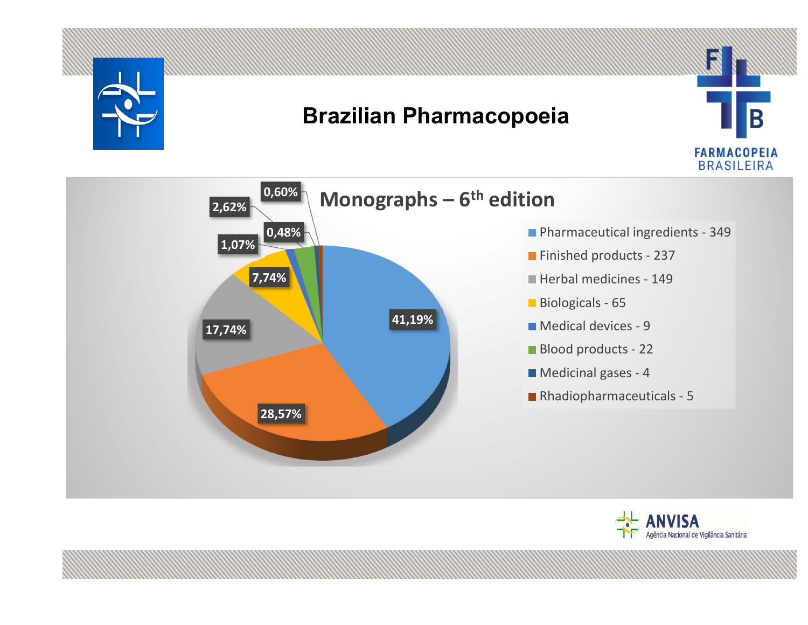

### **Brazilian Pharmacopoeia**





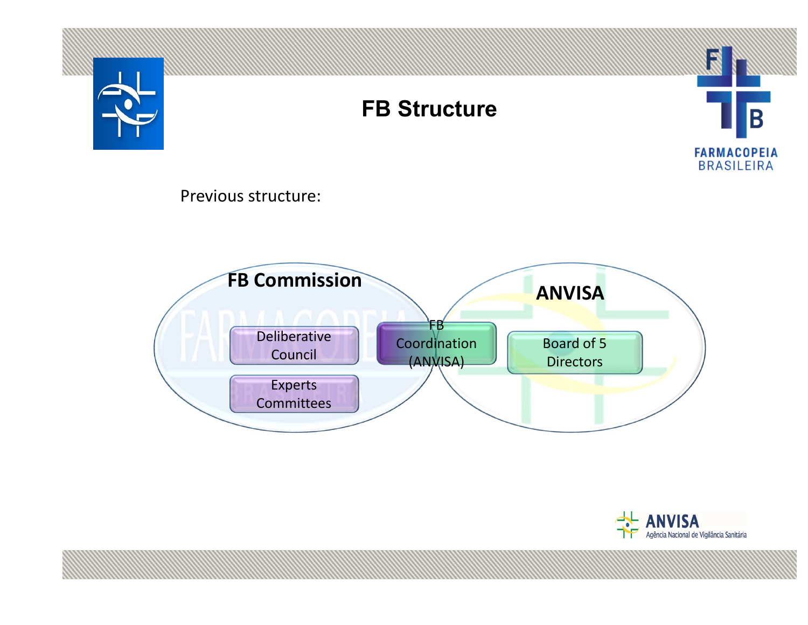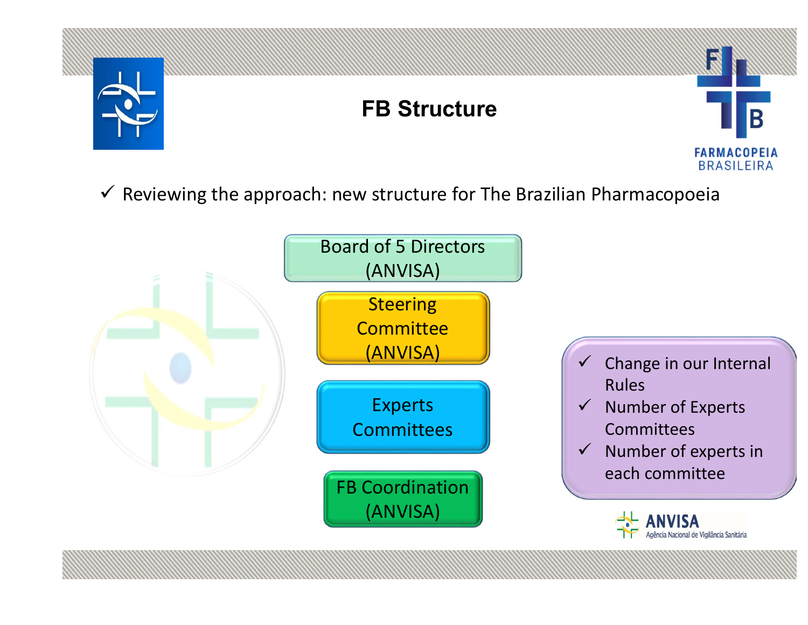

## **FB Structure**



 $\checkmark$  Reviewing the approach: new structure for The Brazilian Pharmacopoeia

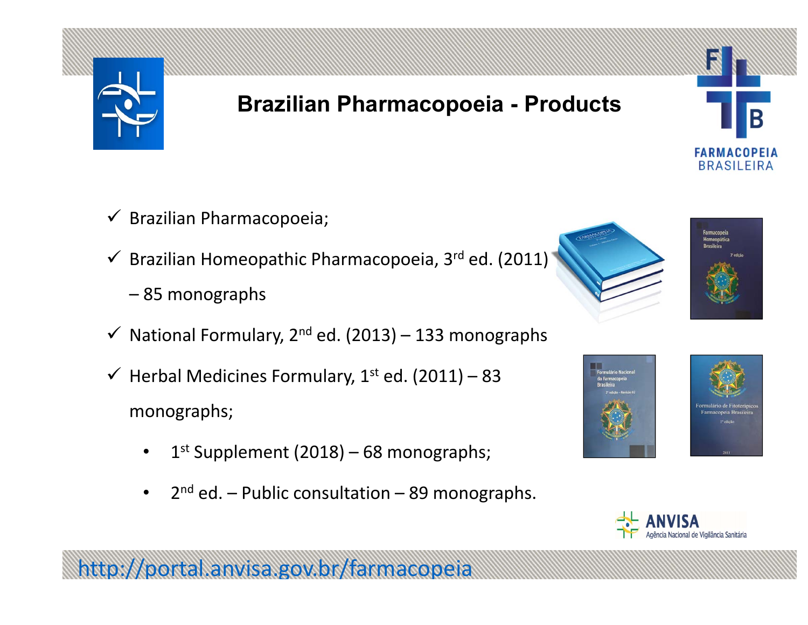

## **Brazilian Pharmacopoeia - Products**

- $\checkmark$  Brazilian Pharmacopoeia;
- $\checkmark$  Brazilian Homeopathic Pharmacopoeia, 3<sup>rd</sup> ed. (2011)
	- 85 monographs
- $\checkmark$  National Formulary, 2<sup>nd</sup> ed. (2013) 133 monographs
- $\checkmark$  Herbal Medicines Formulary, 1<sup>st</sup> ed. (2011) 83 monographs;
	- • $1<sup>st</sup>$  Supplement (2018) – 68 monographs;

http://portal.anvisa.gov.br/farmacopeia

 $\bullet$  $2^{nd}$  ed. – Public consultation – 89 monographs.





**FARMACOPEIA BRASILEIRA** 





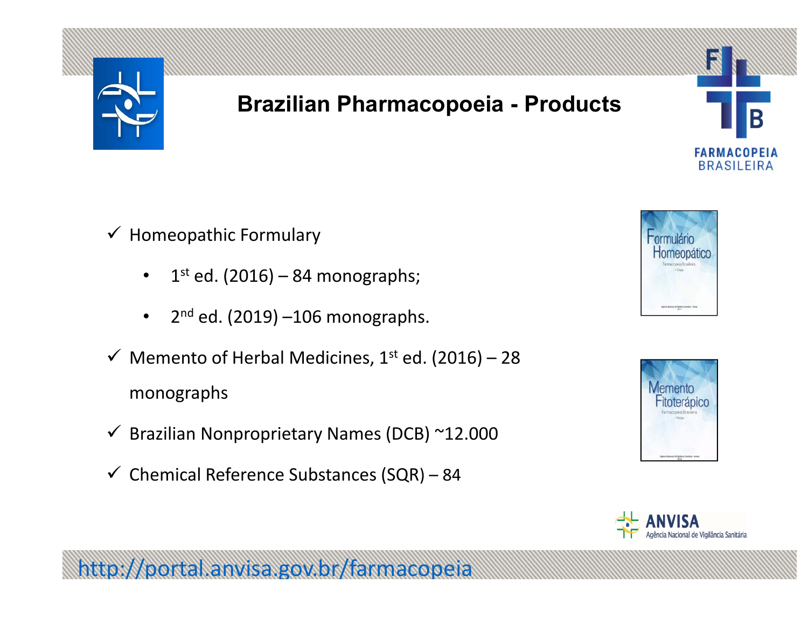

### **Brazilian Pharmacopoeia - Products**

- $\checkmark$  Homeopathic Formulary
	- $\bullet$  $1<sup>st</sup>$  ed. (2016) – 84 monographs;
	- • $2<sup>nd</sup>$  ed. (2019) –106 monographs.
- $\checkmark$  Memento of Herbal Medicines, 1<sup>st</sup> ed. (2016) 28 monographs
- $\checkmark$  Brazilian Nonproprietary Names (DCB) ~12.000
- $\checkmark$  Chemical Reference Substances (SQR) 84

http://portal.anvisa.gov.br/farmacopeia



Β

**FARMACOPEIA BRASILEIRA** 



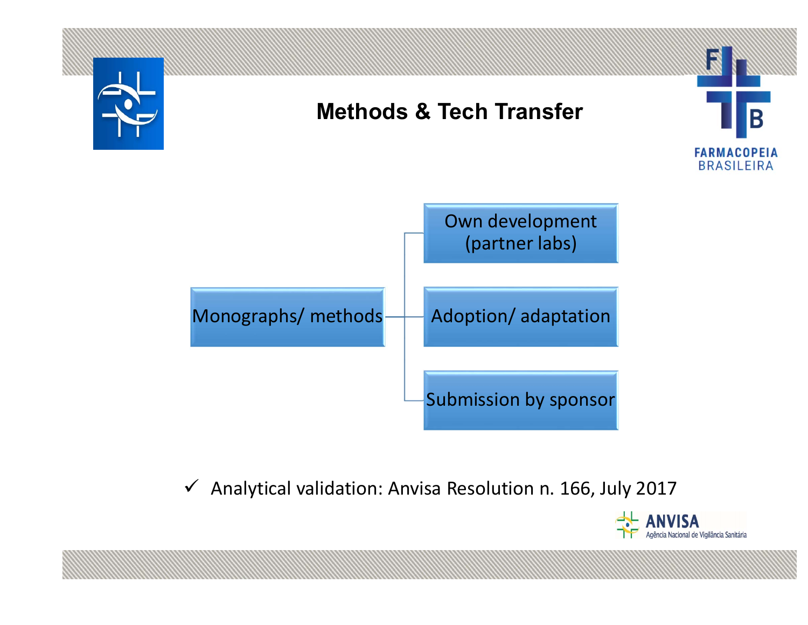

 $\checkmark$  Analytical validation: Anvisa Resolution n. 166, July 2017

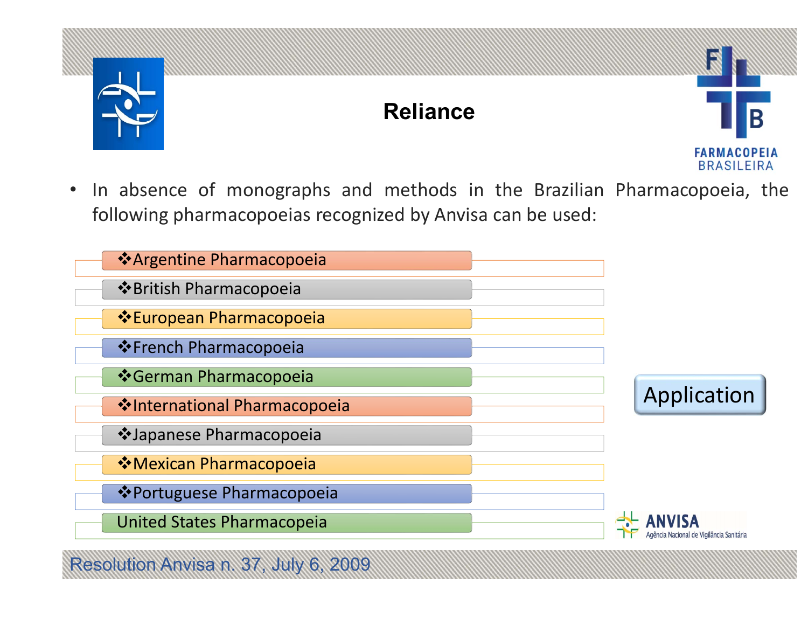

esolution Anvisa n. 37, July

### **Reliance**



• In absence of monographs and methods in the Brazilian Pharmacopoeia, the following pharmacopoeias recognized by Anvisa can be used:

| ❖ Argentine Pharmacopoeia            |                                  |
|--------------------------------------|----------------------------------|
| ❖ British Pharmacopoeia              |                                  |
| ❖ European Pharmacopoeia             |                                  |
| ❖ French Pharmacopoeia               |                                  |
| ❖ German Pharmacopoeia               |                                  |
| <b>V</b> International Pharmacopoeia | Application                      |
| ❖Japanese Pharmacopoeia              |                                  |
| ❖ Mexican Pharmacopoeia              |                                  |
| ❖ Portuguese Pharmacopoeia           |                                  |
| <b>United States Pharmacopeia</b>    | Nacional de Vigilância Sanitária |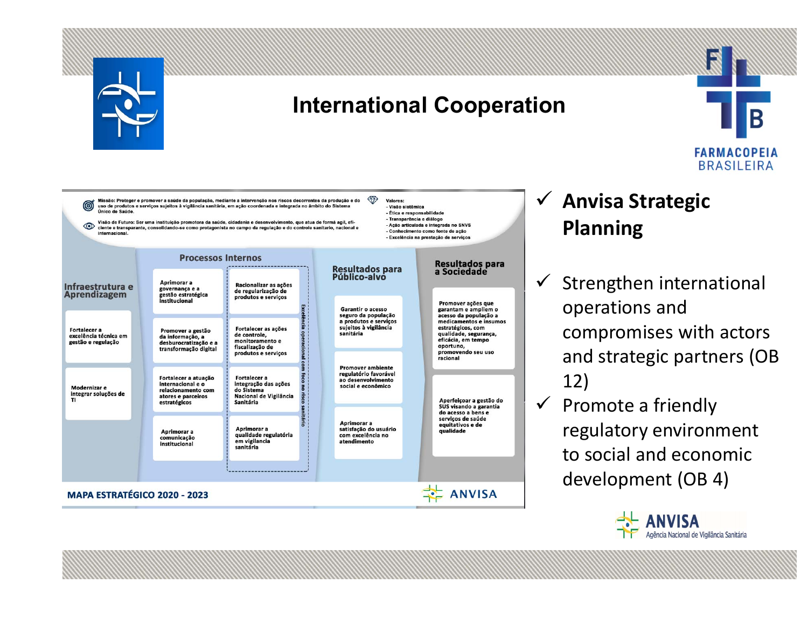

### **International Cooperation**

Valores:

- Visão sistêmica

- Ética e responsabilidade - Transparência e diálogo

- Ação articulada e integrada no SNVS

Conhecimento como fonte de ação - Excelência na prestação de serviços



₩ Missão: Proteger e promover a saúde da população, mediante a intervenção nos riscos decorrentes da produção e do uso de produtos e serviços sujeitos à vigilância sanitária, em ação coordenada e integrada no âmbito do Sistema Único de Saúde

Visão de Futuro: Ser uma instituição promotora da saúde, cidadania e desenvolvimento, que atua de formá agil, efi-ക ciente e transparante, consolidando-se como protagonista no campo da regulação e do controle sanitario, nacional

|                                                                    | <b>Processos Internos</b>                                                                             |                                                                                                                         |                                                                                                                |                                                                                                                                                                                |
|--------------------------------------------------------------------|-------------------------------------------------------------------------------------------------------|-------------------------------------------------------------------------------------------------------------------------|----------------------------------------------------------------------------------------------------------------|--------------------------------------------------------------------------------------------------------------------------------------------------------------------------------|
| Infraestrutura e<br><b>Aprendizagem</b>                            | Aprimorar a<br>governança e a<br>gestão estratégica<br>institucional                                  | Racionalizar as acões<br>de regularização de<br>produtos e servicos                                                     | Resultados para<br>Público-alvo                                                                                | Resultados para<br>a Sociedade<br>Promover ações que                                                                                                                           |
| <b>Fortalecer a</b><br>excelência técnica em<br>gestão e regulação | Promover a gestão<br>da informação, a<br>desburocratização e a<br>transformação digital               | lência<br>Fortalecer as ações<br>operaciona<br>de controle.<br>monitoramento e<br>fiscalização de                       | <b>Garantir o acesso</b><br>seguro da população<br>a produtos e servicos<br>sujeitos à vigilância<br>sanitária | garantam e ampliem o<br>acesso da população a<br>medicamentos e insumos<br>estratégicos, com<br>qualidade, segurança,<br>eficácia, em tempo<br>oportuno,<br>promovendo seu uso |
| Modernizar e<br>integrar soluções de<br>TI                         | Fortalecer a atuação<br>internacional e o<br>relacionamento com<br>atores e parceiros<br>estratégicos | produtos e serviços<br><b>Fortalecer a</b><br>integração das ações<br>do Sistema<br>Nacional de Vigilância<br>Sanitária | <b>Promover ambiente</b><br>regulatório favorável<br>ao desenvolvimento<br>social e econômico                  | racional<br>Aperfeicoar a gestão do                                                                                                                                            |
|                                                                    | Aprimorar a<br>comunicação<br>institucional                                                           | Aprimorar a<br>qualidade regulatória<br>em vigilancia<br>sanitária                                                      | Aprimorar a<br>satisfação do usuário<br>com excelência no<br>atendimento                                       | SUS visando a garantia<br>do acesso a bens e<br>serviços de saúde<br>equitativos e de<br>qualidade                                                                             |
|                                                                    |                                                                                                       |                                                                                                                         |                                                                                                                |                                                                                                                                                                                |
| MAPA ESTRATÉGICO 2020 - 2023                                       |                                                                                                       |                                                                                                                         |                                                                                                                | <b>ANVISA</b>                                                                                                                                                                  |
|                                                                    |                                                                                                       |                                                                                                                         |                                                                                                                |                                                                                                                                                                                |

### **Anvisa Strategic Planning**

- $\checkmark$  Strengthen international operations and compromises with actors and strategic partners (OB 12)
- $\checkmark$  Promote a friendly regulatory environment to social and economic development (OB 4)

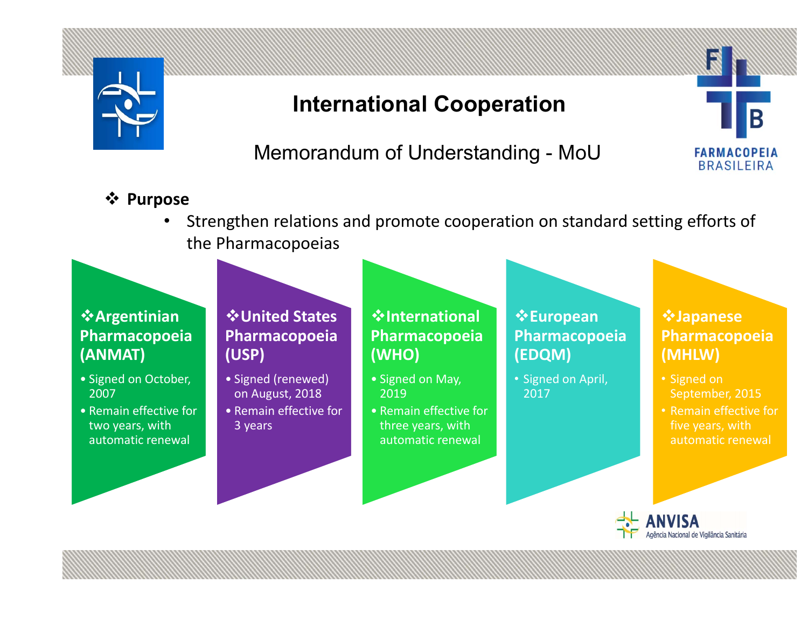

### **International Cooperation**

Memorandum of Understanding - MoU

#### **Purpose**

• Strengthen relations and promote cooperation on standard setting efforts of the Pharmacopoeias

#### **Argentinian Pharmacopoeia (ANMAT)**

- Signed on October, 2007
- Remain effective for two years, with automatic renewal

#### **United States Pharmacopoeia (USP)**

- Signed (renewed) on August, 2018
- Remain effective for 3 years

#### **International Pharmacopoeia (WHO)**

- Signed on May, 2019
- Remain effective for three years, with automatic renewal

#### **European Pharmacopoeia (EDQM)**

• Signed on April, 2017

#### **Japanese Pharmacopoeia (MHLW)**

- Signed on September, 2015
- Remain effective for five years, with automatic renewal



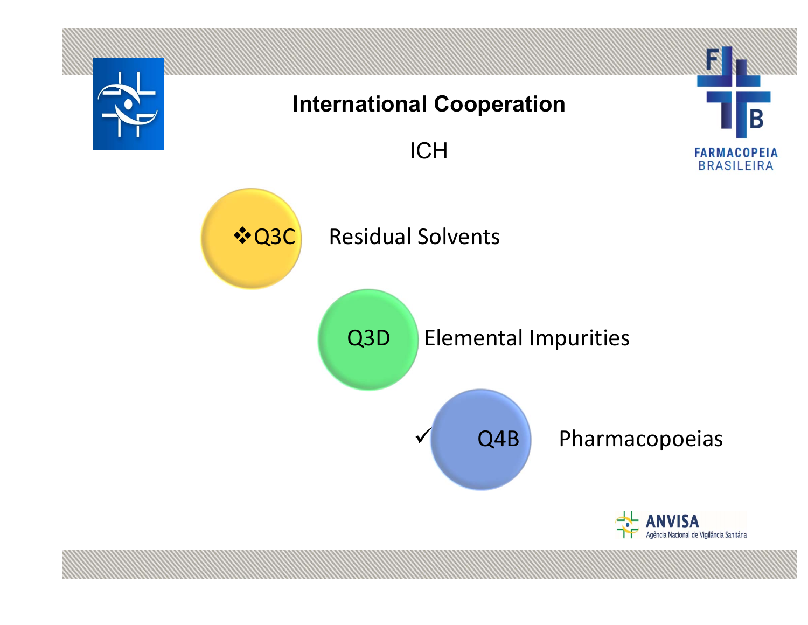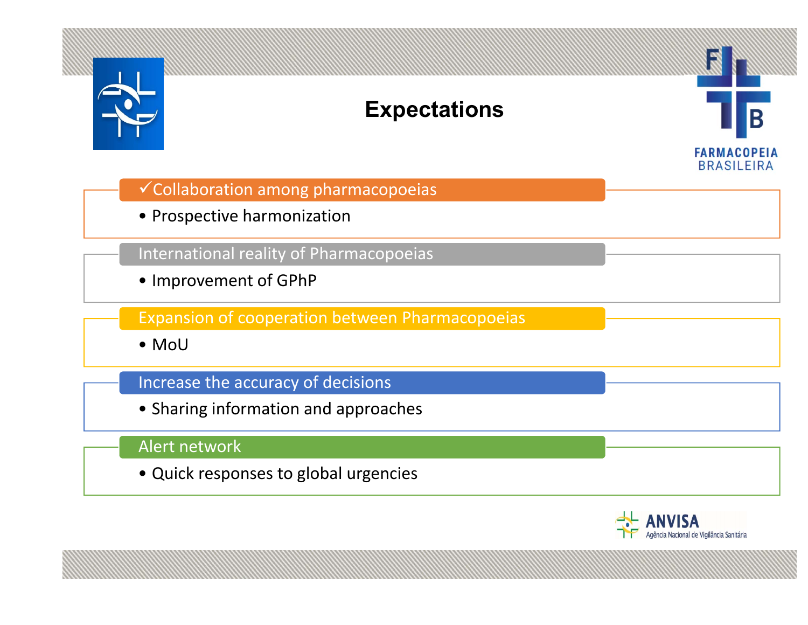

### **Expectations**



Collaboration among pharmacopoeias

• Prospective harmonization

International reality of Pharmacopoeias

• Improvement of GPhP

Expansion of cooperation between Pharmacopoeias

• MoU

#### Increase the accuracy of decisions

• Sharing information and approaches

#### Alert network

• Quick responses to global urgencies